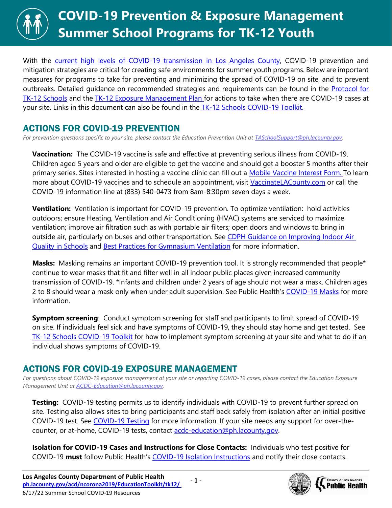

With the [current high levels of COVID-19 transmission in Los Angeles County,](http://publichealth.lacounty.gov/media/Coronavirus/data/post-surge-dashboard.htm) COVID-19 prevention and mitigation strategies are critical for creating safe environments for summer youth programs. Below are important measures for programs to take for preventing and minimizing the spread of COVID-19 on site, and to prevent outbreaks. Detailed guidance on recommended strategies and requirements can be found in the [Protocol for](http://publichealth.lacounty.gov/media/Coronavirus/docs/protocols/Reopening_K12Schools.pdf)  [TK-12 Schools](http://publichealth.lacounty.gov/media/Coronavirus/docs/protocols/Reopening_K12Schools.pdf) and the [TK-12 Exposure Management Plan f](http://publichealth.lacounty.gov/media/coronavirus/docs/protocols/ExposureManagementPlan_K12Schools.pdf)or actions to take when there are COVID-19 cases at your site. Links in this document can also be found in the [TK-12 Schools COVID-19 Toolkit.](http://ph.lacounty.gov/acd/ncorona2019/EducationToolkit/tk12/)

## ACTIONS FOR COVID-19 PREVENTION

*For prevention questions specific to your site, please contact the Education Prevention Unit at [TASchoolSupport@ph.lacounty.gov.](mailto:TASchoolSupport@ph.lacounty.gov)*

**Vaccination:** The COVID-19 vaccine is safe and effective at preventing serious illness from COVID-19. Children aged 5 years and older are eligible to get the vaccine and should get a booster 5 months after their primary series. Sites interested in hosting a vaccine clinic can fill out a [Mobile Vaccine Interest Form.](https://forms.office.com/Pages/ResponsePage.aspx?id=SHJZBzjqG0WKvqY47dusgRhkHSYxz5JKiyxHrBS9oFNURDVOVjNMTlFOTDMzTVBESktZU1g5VTExOS4u) To learn more about COVID-19 vaccines and to schedule an appointment, visit [VaccinateLACounty.com](http://www.publichealth.lacounty.gov/media/Coronavirus/vaccine/index.htm) or call the COVID-19 information line at (833) 540-0473 from 8am-8:30pm seven days a week.

**Ventilation:** Ventilation is important for COVID-19 prevention. To optimize ventilation: hold activities outdoors; ensure Heating, Ventilation and Air Conditioning (HVAC) systems are serviced to maximize ventilation; improve air filtration such as with portable air filters; open doors and windows to bring in outside air, particularly on buses and other transportation. See CDPH Guidance on Improving Indoor Air [Quality in Schools](https://www.cdph.ca.gov/Programs/CID/DCDC/Pages/COVID-19/COVID-19-and-Improving-Indoor-Air-Quality-in-Schools.aspx) and [Best Practices for Gymnasium Ventilation](http://publichealth.lacounty.gov/acd/ncorona2019/docs/GymVentilationGuidance.pdf) for more information.

**Masks:** Masking remains an important COVID-19 prevention tool. It is strongly recommended that people\* continue to wear masks that fit and filter well in all indoor public places given increased community transmission of COVID-19. \*Infants and children under 2 years of age should not wear a mask. Children ages 2 to 8 should wear a mask only when under adult supervision. See Public Health's [COVID-19 Masks](http://publichealth.lacounty.gov/acd/ncorona2019/masks/) for more information.

**Symptom screening**: Conduct symptom screening for staff and participants to limit spread of COVID-19 on site. If individuals feel sick and have symptoms of COVID-19, they should stay home and get tested. See [TK-12 Schools COVID-19 Toolkit](http://ph.lacounty.gov/acd/ncorona2019/EducationToolkit/tk12/#screening) for how to implement symptom screening at your site and what to do if an individual shows symptoms of COVID-19.

## ACTIONS FOR COVID-19 EXPOSURE MANAGEMENT

*For questions about COVID-19 exposure management at your site or reporting COVID-19 cases, please contact the Education Exposure Management Unit at [ACDC-Education@ph.lacounty.gov.](mailto:ACDC-Education@ph.lacounty.gov)*

**Testing:** COVID-19 testing permits us to identify individuals with COVID-19 to prevent further spread on site. Testing also allows sites to bring participants and staff back safely from isolation after an initial positive COVID-19 test. See [COVID-19 Testing](http://publichealth.lacounty.gov/acd/ncorona2019/covidtests/) for more information. If your site needs any support for over-thecounter, or at-home, COVID-19 tests, contact acdc-education@ph.lacounty.gov.

**Isolation for COVID-19 Cases and Instructions for Close Contacts:** Individuals who test positive for COVID-19 **must** follow Public Health's [COVID-19 Isolation Instructions](http://publichealth.lacounty.gov/acd/ncorona2019/covidisolation/) and notify their close contacts.